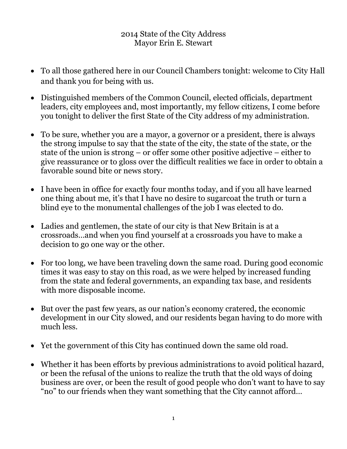## 2014 State of the City Address Mayor Erin E. Stewart

- To all those gathered here in our Council Chambers tonight: welcome to City Hall and thank you for being with us.
- Distinguished members of the Common Council, elected officials, department leaders, city employees and, most importantly, my fellow citizens, I come before you tonight to deliver the first State of the City address of my administration.
- To be sure, whether you are a mayor, a governor or a president, there is always the strong impulse to say that the state of the city, the state of the state, or the state of the union is strong – or offer some other positive adjective – either to give reassurance or to gloss over the difficult realities we face in order to obtain a favorable sound bite or news story.
- I have been in office for exactly four months today, and if you all have learned one thing about me, it's that I have no desire to sugarcoat the truth or turn a blind eye to the monumental challenges of the job I was elected to do.
- Ladies and gentlemen, the state of our city is that New Britain is at a crossroads…and when you find yourself at a crossroads you have to make a decision to go one way or the other.
- For too long, we have been traveling down the same road. During good economic times it was easy to stay on this road, as we were helped by increased funding from the state and federal governments, an expanding tax base, and residents with more disposable income.
- But over the past few years, as our nation's economy cratered, the economic development in our City slowed, and our residents began having to do more with much less.
- Yet the government of this City has continued down the same old road.
- Whether it has been efforts by previous administrations to avoid political hazard, or been the refusal of the unions to realize the truth that the old ways of doing business are over, or been the result of good people who don't want to have to say "no" to our friends when they want something that the City cannot afford…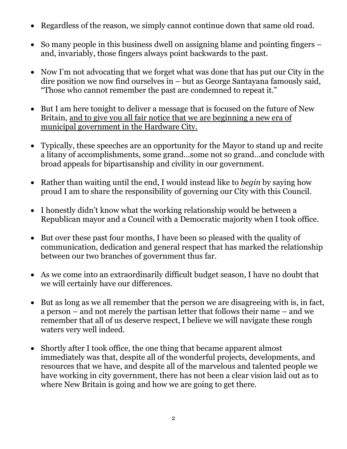- Regardless of the reason, we simply cannot continue down that same old road.
- So many people in this business dwell on assigning blame and pointing fingers and, invariably, those fingers always point backwards to the past.
- Now I'm not advocating that we forget what was done that has put our City in the dire position we now find ourselves in – but as George Santayana famously said, "Those who cannot remember the past are condemned to repeat it."
- But I am here tonight to deliver a message that is focused on the future of New Britain, and to give you all fair notice that we are beginning a new era of municipal government in the Hardware City.
- Typically, these speeches are an opportunity for the Mayor to stand up and recite a litany of accomplishments, some grand…some not so grand…and conclude with broad appeals for bipartisanship and civility in our government.
- Rather than waiting until the end, I would instead like to *begin* by saying how proud I am to share the responsibility of governing our City with this Council.
- I honestly didn't know what the working relationship would be between a Republican mayor and a Council with a Democratic majority when I took office.
- But over these past four months, I have been so pleased with the quality of communication, dedication and general respect that has marked the relationship between our two branches of government thus far.
- As we come into an extraordinarily difficult budget season, I have no doubt that we will certainly have our differences.
- But as long as we all remember that the person we are disagreeing with is, in fact, a person – and not merely the partisan letter that follows their name – and we remember that all of us deserve respect, I believe we will navigate these rough waters very well indeed.
- Shortly after I took office, the one thing that became apparent almost immediately was that, despite all of the wonderful projects, developments, and resources that we have, and despite all of the marvelous and talented people we have working in city government, there has not been a clear vision laid out as to where New Britain is going and how we are going to get there.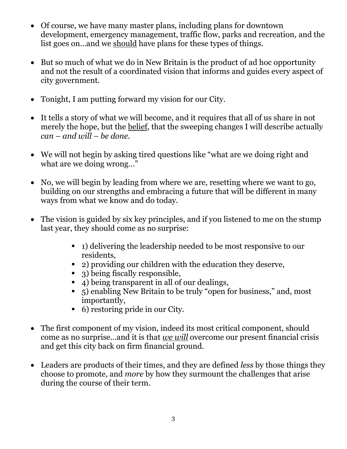- Of course, we have many master plans, including plans for downtown development, emergency management, traffic flow, parks and recreation, and the list goes on…and we should have plans for these types of things.
- But so much of what we do in New Britain is the product of ad hoc opportunity and not the result of a coordinated vision that informs and guides every aspect of city government.
- Tonight, I am putting forward my vision for our City.
- It tells a story of what we will become, and it requires that all of us share in not merely the hope, but the belief, that the sweeping changes I will describe actually *can – and will – be done*.
- We will not begin by asking tired questions like "what are we doing right and what are we doing wrong..."
- No, we will begin by leading from where we are, resetting where we want to go, building on our strengths and embracing a future that will be different in many ways from what we know and do today.
- The vision is guided by six key principles, and if you listened to me on the stump last year, they should come as no surprise:
	- 1) delivering the leadership needed to be most responsive to our residents,
	- 2) providing our children with the education they deserve,
	- 3) being fiscally responsible,
	- 4) being transparent in all of our dealings,
	- 5) enabling New Britain to be truly "open for business," and, most importantly,
	- 6) restoring pride in our City.
- The first component of my vision, indeed its most critical component, should come as no surprise…and it is that *we will* overcome our present financial crisis and get this city back on firm financial ground.
- Leaders are products of their times, and they are defined *less* by those things they choose to promote, and *more* by how they surmount the challenges that arise during the course of their term.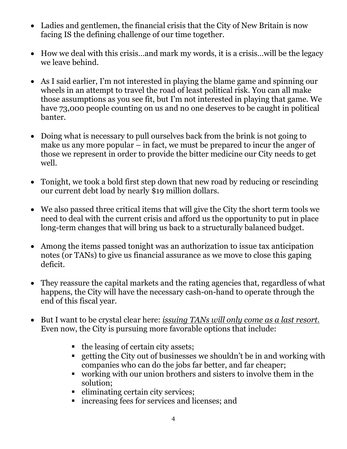- Ladies and gentlemen, the financial crisis that the City of New Britain is now facing IS the defining challenge of our time together.
- How we deal with this crisis…and mark my words, it is a crisis…will be the legacy we leave behind.
- As I said earlier, I'm not interested in playing the blame game and spinning our wheels in an attempt to travel the road of least political risk. You can all make those assumptions as you see fit, but I'm not interested in playing that game. We have 73,000 people counting on us and no one deserves to be caught in political banter.
- Doing what is necessary to pull ourselves back from the brink is not going to make us any more popular – in fact, we must be prepared to incur the anger of those we represent in order to provide the bitter medicine our City needs to get well.
- Tonight, we took a bold first step down that new road by reducing or rescinding our current debt load by nearly \$19 million dollars.
- We also passed three critical items that will give the City the short term tools we need to deal with the current crisis and afford us the opportunity to put in place long-term changes that will bring us back to a structurally balanced budget.
- Among the items passed tonight was an authorization to issue tax anticipation notes (or TANs) to give us financial assurance as we move to close this gaping deficit.
- They reassure the capital markets and the rating agencies that, regardless of what happens, the City will have the necessary cash-on-hand to operate through the end of this fiscal year.
- But I want to be crystal clear here: *issuing TANs will only come as a last resort.* Even now, the City is pursuing more favorable options that include:
	- $\blacksquare$  the leasing of certain city assets;
	- getting the City out of businesses we shouldn't be in and working with companies who can do the jobs far better, and far cheaper;
	- working with our union brothers and sisters to involve them in the solution;
	- eliminating certain city services;
	- increasing fees for services and licenses; and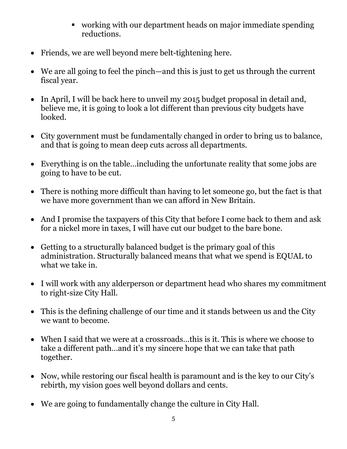- working with our department heads on major immediate spending reductions.
- Friends, we are well beyond mere belt-tightening here.
- We are all going to feel the pinch—and this is just to get us through the current fiscal year.
- In April, I will be back here to unveil my 2015 budget proposal in detail and, believe me, it is going to look a lot different than previous city budgets have looked.
- City government must be fundamentally changed in order to bring us to balance, and that is going to mean deep cuts across all departments.
- Everything is on the table…including the unfortunate reality that some jobs are going to have to be cut.
- There is nothing more difficult than having to let someone go, but the fact is that we have more government than we can afford in New Britain.
- And I promise the taxpayers of this City that before I come back to them and ask for a nickel more in taxes, I will have cut our budget to the bare bone.
- Getting to a structurally balanced budget is the primary goal of this administration. Structurally balanced means that what we spend is EQUAL to what we take in.
- I will work with any alderperson or department head who shares my commitment to right-size City Hall.
- This is the defining challenge of our time and it stands between us and the City we want to become.
- When I said that we were at a crossroads…this is it. This is where we choose to take a different path…and it's my sincere hope that we can take that path together.
- Now, while restoring our fiscal health is paramount and is the key to our City's rebirth, my vision goes well beyond dollars and cents.
- We are going to fundamentally change the culture in City Hall.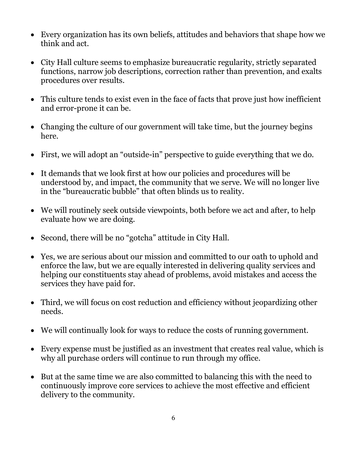- Every organization has its own beliefs, attitudes and behaviors that shape how we think and act.
- City Hall culture seems to emphasize bureaucratic regularity, strictly separated functions, narrow job descriptions, correction rather than prevention, and exalts procedures over results.
- This culture tends to exist even in the face of facts that prove just how inefficient and error-prone it can be.
- Changing the culture of our government will take time, but the journey begins here.
- First, we will adopt an "outside-in" perspective to guide everything that we do.
- It demands that we look first at how our policies and procedures will be understood by, and impact, the community that we serve. We will no longer live in the "bureaucratic bubble" that often blinds us to reality.
- We will routinely seek outside viewpoints, both before we act and after, to help evaluate how we are doing.
- Second, there will be no "gotcha" attitude in City Hall.
- Yes, we are serious about our mission and committed to our oath to uphold and enforce the law, but we are equally interested in delivering quality services and helping our constituents stay ahead of problems, avoid mistakes and access the services they have paid for.
- Third, we will focus on cost reduction and efficiency without jeopardizing other needs.
- We will continually look for ways to reduce the costs of running government.
- Every expense must be justified as an investment that creates real value, which is why all purchase orders will continue to run through my office.
- But at the same time we are also committed to balancing this with the need to continuously improve core services to achieve the most effective and efficient delivery to the community.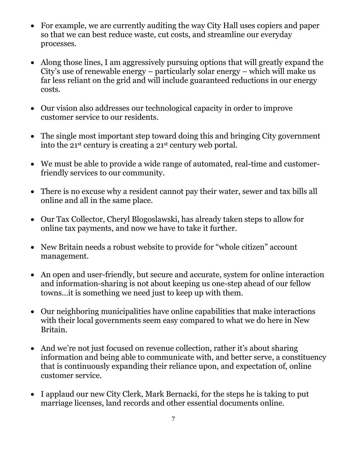- For example, we are currently auditing the way City Hall uses copiers and paper so that we can best reduce waste, cut costs, and streamline our everyday processes.
- Along those lines, I am aggressively pursuing options that will greatly expand the City's use of renewable energy – particularly solar energy – which will make us far less reliant on the grid and will include guaranteed reductions in our energy costs.
- Our vision also addresses our technological capacity in order to improve customer service to our residents.
- The single most important step toward doing this and bringing City government into the 21st century is creating a 21st century web portal.
- We must be able to provide a wide range of automated, real-time and customerfriendly services to our community.
- There is no excuse why a resident cannot pay their water, sewer and tax bills all online and all in the same place.
- Our Tax Collector, Cheryl Blogoslawski, has already taken steps to allow for online tax payments, and now we have to take it further.
- New Britain needs a robust website to provide for "whole citizen" account management.
- An open and user-friendly, but secure and accurate, system for online interaction and information-sharing is not about keeping us one-step ahead of our fellow towns…it is something we need just to keep up with them.
- Our neighboring municipalities have online capabilities that make interactions with their local governments seem easy compared to what we do here in New Britain.
- And we're not just focused on revenue collection, rather it's about sharing information and being able to communicate with, and better serve, a constituency that is continuously expanding their reliance upon, and expectation of, online customer service.
- I applaud our new City Clerk, Mark Bernacki, for the steps he is taking to put marriage licenses, land records and other essential documents online.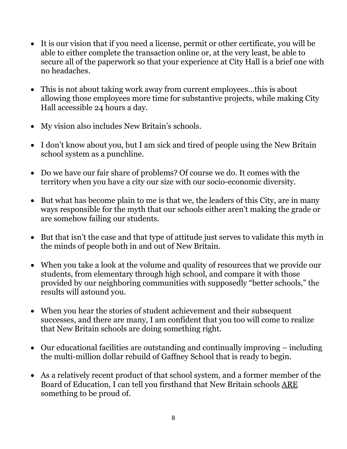- It is our vision that if you need a license, permit or other certificate, you will be able to either complete the transaction online or, at the very least, be able to secure all of the paperwork so that your experience at City Hall is a brief one with no headaches.
- This is not about taking work away from current employees...this is about allowing those employees more time for substantive projects, while making City Hall accessible 24 hours a day.
- My vision also includes New Britain's schools.
- I don't know about you, but I am sick and tired of people using the New Britain school system as a punchline.
- Do we have our fair share of problems? Of course we do. It comes with the territory when you have a city our size with our socio-economic diversity.
- But what has become plain to me is that we, the leaders of this City, are in many ways responsible for the myth that our schools either aren't making the grade or are somehow failing our students.
- But that isn't the case and that type of attitude just serves to validate this myth in the minds of people both in and out of New Britain.
- When you take a look at the volume and quality of resources that we provide our students, from elementary through high school, and compare it with those provided by our neighboring communities with supposedly "better schools," the results will astound you.
- When you hear the stories of student achievement and their subsequent successes, and there are many, I am confident that you too will come to realize that New Britain schools are doing something right.
- Our educational facilities are outstanding and continually improving including the multi-million dollar rebuild of Gaffney School that is ready to begin.
- As a relatively recent product of that school system, and a former member of the Board of Education, I can tell you firsthand that New Britain schools ARE something to be proud of.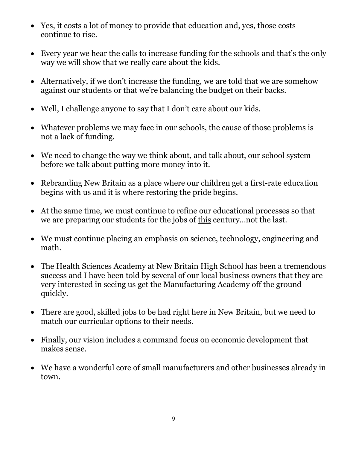- Yes, it costs a lot of money to provide that education and, yes, those costs continue to rise.
- Every year we hear the calls to increase funding for the schools and that's the only way we will show that we really care about the kids.
- Alternatively, if we don't increase the funding, we are told that we are somehow against our students or that we're balancing the budget on their backs.
- Well, I challenge anyone to say that I don't care about our kids.
- Whatever problems we may face in our schools, the cause of those problems is not a lack of funding.
- We need to change the way we think about, and talk about, our school system before we talk about putting more money into it.
- Rebranding New Britain as a place where our children get a first-rate education begins with us and it is where restoring the pride begins.
- At the same time, we must continue to refine our educational processes so that we are preparing our students for the jobs of this century…not the last.
- We must continue placing an emphasis on science, technology, engineering and math.
- The Health Sciences Academy at New Britain High School has been a tremendous success and I have been told by several of our local business owners that they are very interested in seeing us get the Manufacturing Academy off the ground quickly.
- There are good, skilled jobs to be had right here in New Britain, but we need to match our curricular options to their needs.
- Finally, our vision includes a command focus on economic development that makes sense.
- We have a wonderful core of small manufacturers and other businesses already in town.